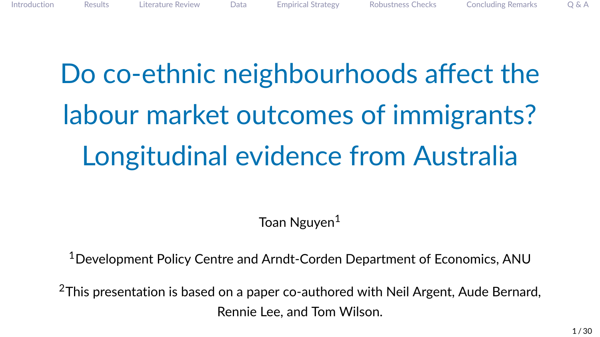# Do co-ethnic neighbourhoods affect the labour market outcomes of immigrants? Longitudinal evidence from Australia

Toan Nguyen<sup>1</sup>

<sup>1</sup>Development Policy Centre and Arndt-Corden Department of Economics, ANU

<sup>2</sup>This presentation is based on a paper co-authored with Neil Argent, Aude Bernard, Rennie Lee, and Tom Wilson.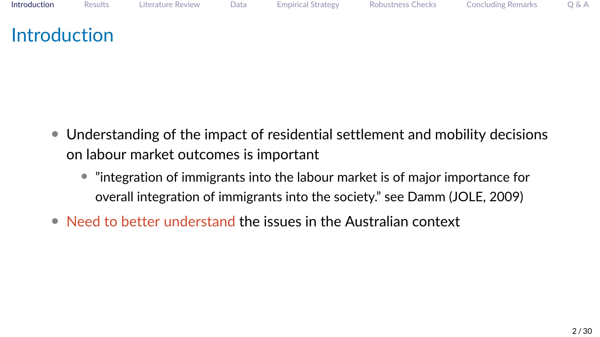# <span id="page-1-0"></span>**Introduction**

- Understanding of the impact of residential settlement and mobility decisions on labour market outcomes is important
	- "integration of immigrants into the labour market is of major importance for overall integration of immigrants into the society." see Damm (JOLE, 2009)
- Need to better understand the issues in the Australian context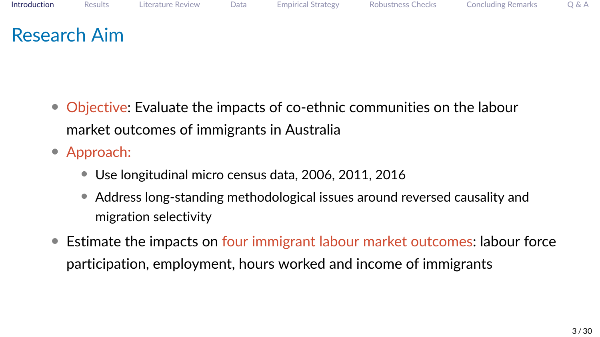- Objective: Evaluate the impacts of co-ethnic communities on the labour market outcomes of immigrants in Australia
- Approach:
	- Use longitudinal micro census data, 2006, 2011, 2016
	- Address long-standing methodological issues around reversed causality and migration selectivity
- Estimate the impacts on four immigrant labour market outcomes: labour force participation, employment, hours worked and income of immigrants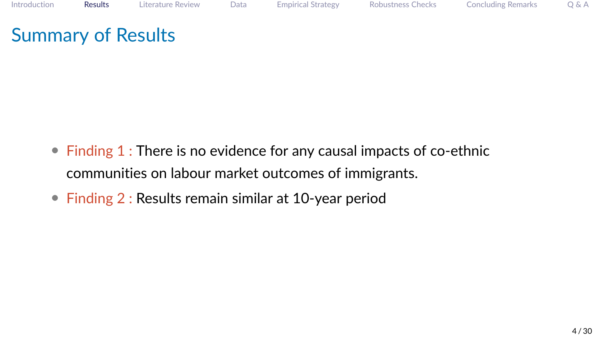# <span id="page-3-0"></span>Summary of Results

- Finding 1 : There is no evidence for any causal impacts of co-ethnic communities on labour market outcomes of immigrants.
- Finding 2 : Results remain similar at 10-year period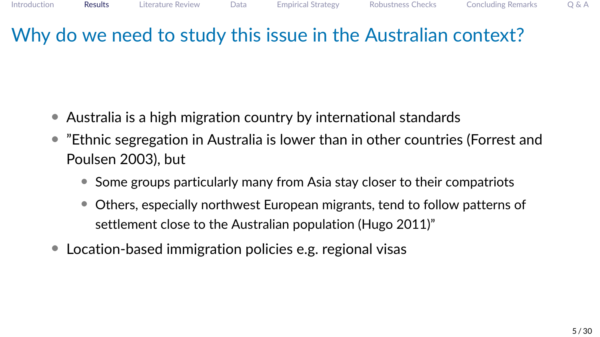# Why do we need to study this issue in the Australian context?

- Australia is a high migration country by international standards
- "Ethnic segregation in Australia is lower than in other countries (Forrest and Poulsen 2003), but
	- Some groups particularly many from Asia stay closer to their compatriots
	- Others, especially northwest European migrants, tend to follow patterns of settlement close to the Australian population (Hugo 2011)"
- Location-based immigration policies e.g. regional visas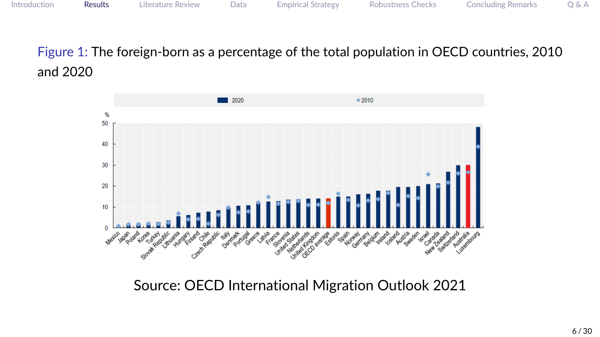Figure 1: The foreign-born as a percentage of the total population in OECD countries, 2010 and 2020



Source: OECD International Migration Outlook 2021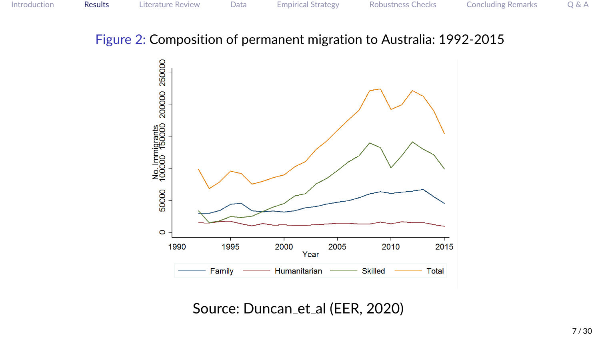#### Figure 2: Composition of permanent migration to Australia: 1992-2015



Source: Duncan\_et\_al (EER, 2020)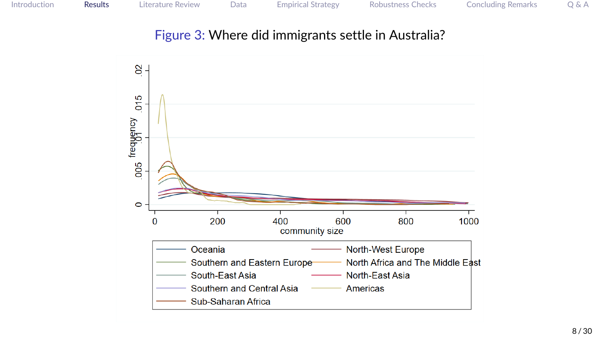#### Figure 3: Where did immigrants settle in Australia?

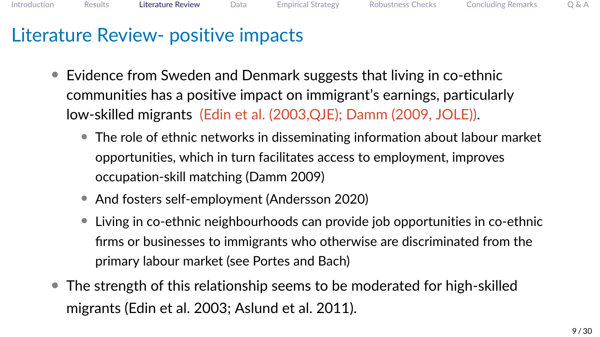# <span id="page-8-0"></span>Literature Review- positive impacts

- Evidence from Sweden and Denmark suggests that living in co-ethnic communities has a positive impact on immigrant's earnings, particularly low-skilled migrants (Edin et al. (2003,QJE); Damm (2009, JOLE)).
	- The role of ethnic networks in disseminating information about labour market opportunities, which in turn facilitates access to employment, improves occupation-skill matching (Damm 2009)
	- And fosters self-employment (Andersson 2020)
	- Living in co-ethnic neighbourhoods can provide job opportunities in co-ethnic firms or businesses to immigrants who otherwise are discriminated from the primary labour market (see Portes and Bach)
- The strength of this relationship seems to be moderated for high-skilled migrants (Edin et al. 2003; Aslund et al. 2011).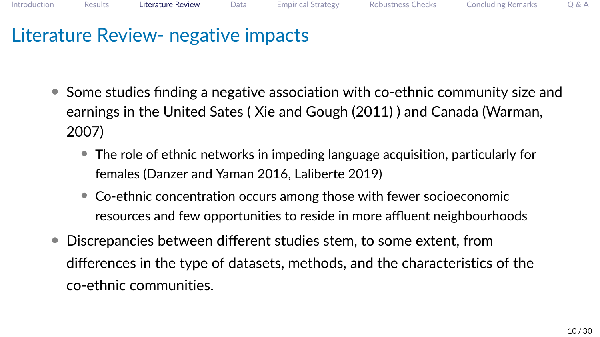### Literature Review- negative impacts

- Some studies finding a negative association with co-ethnic community size and earnings in the United Sates ( Xie and Gough (2011) ) and Canada (Warman, 2007)
	- The role of ethnic networks in impeding language acquisition, particularly for females (Danzer and Yaman 2016, Laliberte 2019)
	- Co-ethnic concentration occurs among those with fewer socioeconomic resources and few opportunities to reside in more affluent neighbourhoods
- Discrepancies between different studies stem, to some extent, from differences in the type of datasets, methods, and the characteristics of the co-ethnic communities.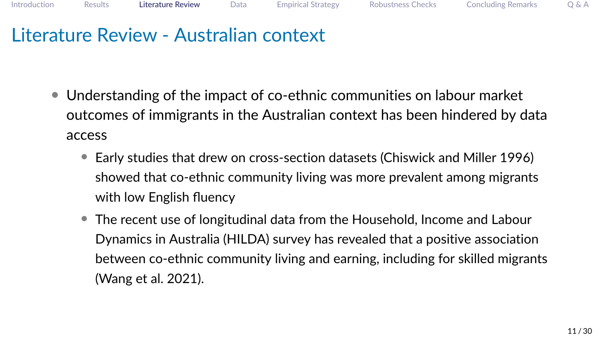### Literature Review - Australian context

- Understanding of the impact of co-ethnic communities on labour market outcomes of immigrants in the Australian context has been hindered by data access
	- Early studies that drew on cross-section datasets (Chiswick and Miller 1996) showed that co-ethnic community living was more prevalent among migrants with low English fluency
	- The recent use of longitudinal data from the Household, Income and Labour Dynamics in Australia (HILDA) survey has revealed that a positive association between co-ethnic community living and earning, including for skilled migrants (Wang et al. 2021).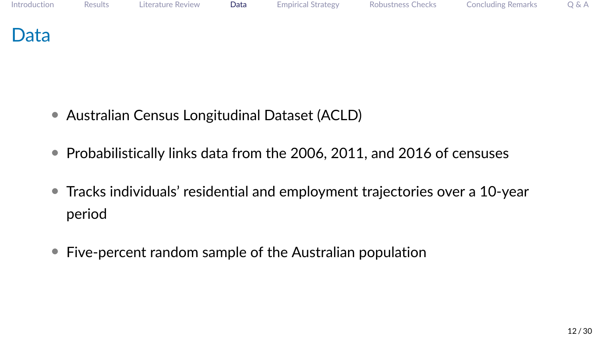### <span id="page-11-0"></span>Data

- Australian Census Longitudinal Dataset (ACLD)
- Probabilistically links data from the 2006, 2011, and 2016 of censuses
- Tracks individuals' residential and employment trajectories over a 10-year period
- Five-percent random sample of the Australian population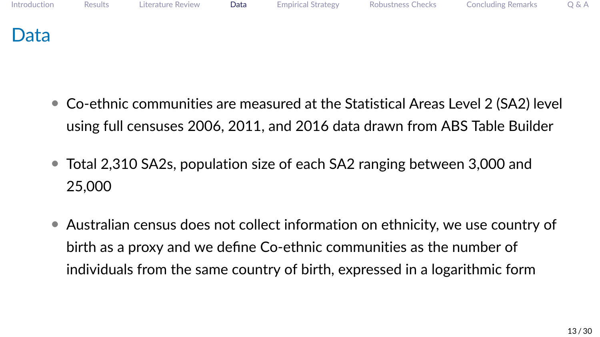

- Co-ethnic communities are measured at the Statistical Areas Level 2 (SA2) level using full censuses 2006, 2011, and 2016 data drawn from ABS Table Builder
- Total 2,310 SA2s, population size of each SA2 ranging between 3,000 and 25,000
- Australian census does not collect information on ethnicity, we use country of birth as a proxy and we define Co-ethnic communities as the number of individuals from the same country of birth, expressed in a logarithmic form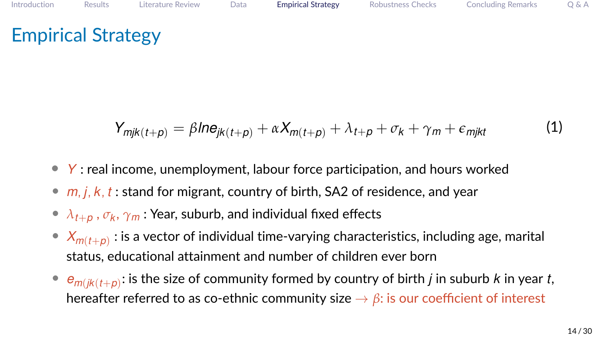<span id="page-13-0"></span>
$$
Y_{mjk(t+p)} = \beta Ine_{jk(t+p)} + \alpha X_{m(t+p)} + \lambda_{t+p} + \sigma_k + \gamma_m + \epsilon_{mjkt}
$$
 (1)

- *Y* : real income, unemployment, labour force participation, and hours worked
- *m*, *j*, *k*, *t* : stand for migrant, country of birth, SA2 of residence, and year
- *λt*+*<sup>p</sup>* , *σ<sup>k</sup>* , *γ<sup>m</sup>* : Year, suburb, and individual fixed effects
- $\bullet \;\; X_{m(t+p)}:$  is a vector of individual time-varying characteristics, including age, marital status, educational attainment and number of children ever born
- $\bullet$   $e_{m(jk(t+p))}$ : is the size of community formed by country of birth *j* in suburb *k* in year *t*, hereafter referred to as co-ethnic community size  $\rightarrow \beta$ : is our coefficient of interest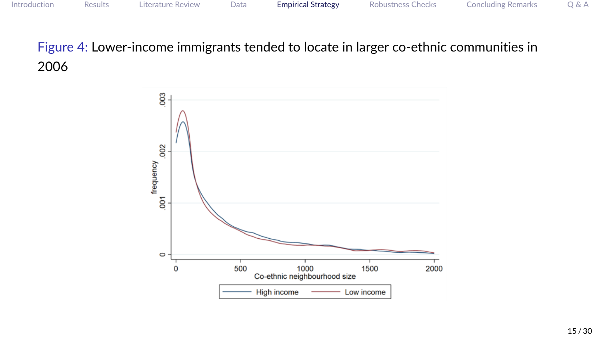Figure 4: Lower-income immigrants tended to locate in larger co-ethnic communities in 2006

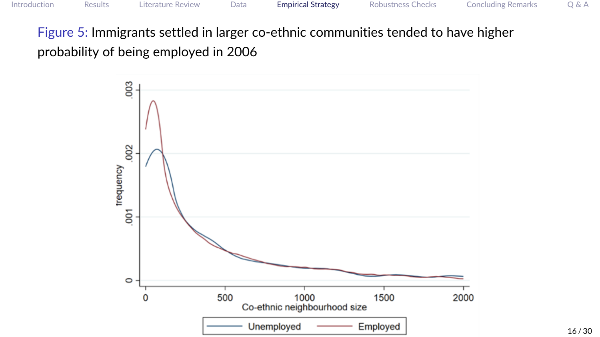Figure 5: Immigrants settled in larger co-ethnic communities tended to have higher probability of being employed in 2006

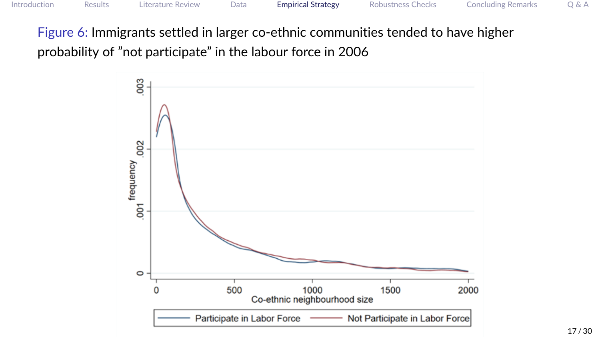Figure 6: Immigrants settled in larger co-ethnic communities tended to have higher probability of "not participate" in the labour force in 2006

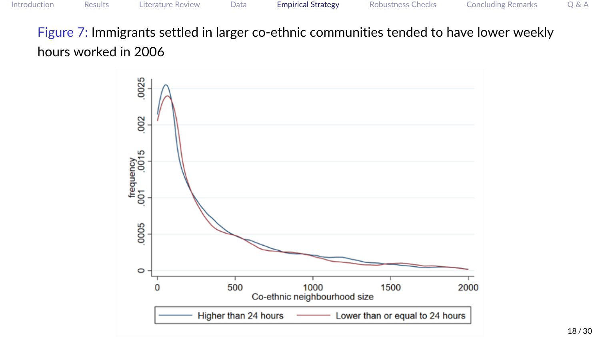Figure 7: Immigrants settled in larger co-ethnic communities tended to have lower weekly hours worked in 2006

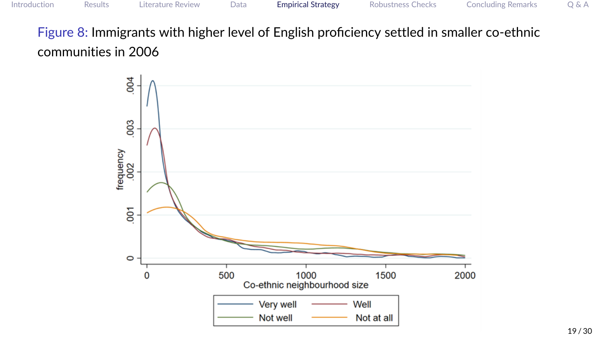Figure 8: Immigrants with higher level of English proficiency settled in smaller co-ethnic communities in 2006

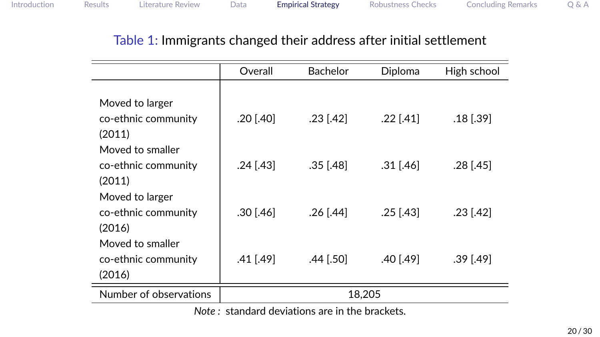#### Table 1: Immigrants changed their address after initial settlement

|                                                      | Overall   | <b>Bachelor</b> | Diploma       | High school   |
|------------------------------------------------------|-----------|-----------------|---------------|---------------|
|                                                      |           |                 |               |               |
| Moved to larger                                      |           |                 |               |               |
| co-ethnic community                                  | .20 [.40] | $.23$ $[.42]$   | .22 [.41]     | $.18$ $.39$   |
| (2011)                                               |           |                 |               |               |
| Moved to smaller                                     |           |                 |               |               |
| co-ethnic community                                  | .24 [.43] | $.35$ [.48]     | $.31$ [.46]   | .28 [.45]     |
| (2011)                                               |           |                 |               |               |
| Moved to larger                                      |           |                 |               |               |
| co-ethnic community                                  | .30 [.46] | .26 [.44]       | $.25$ $[.43]$ | $.23$ $[.42]$ |
| (2016)                                               |           |                 |               |               |
| Moved to smaller                                     |           |                 |               |               |
| co-ethnic community                                  | .41 [.49] | .44 [.50]       | .40 [.49]     | .39 [.49]     |
| (2016)                                               |           |                 |               |               |
| Number of observations                               | 18,205    |                 |               |               |
| Note $\cdot$ standard deviations are in the brackets |           |                 |               |               |

*Note :* standard deviations are in the brackets.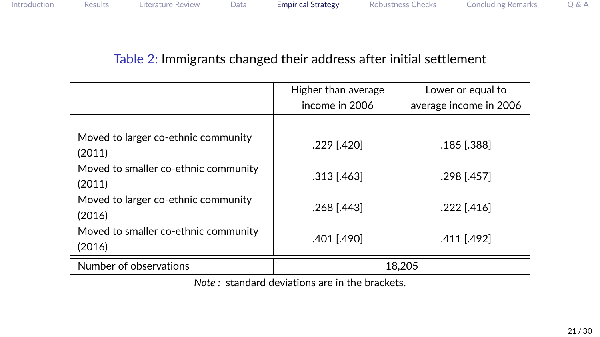#### Table 2: Immigrants changed their address after initial settlement

|                                                | Higher than average<br>Lower or equal to |                        |  |  |
|------------------------------------------------|------------------------------------------|------------------------|--|--|
|                                                | income in 2006                           | average income in 2006 |  |  |
|                                                |                                          |                        |  |  |
| Moved to larger co-ethnic community<br>(2011)  | .229 [.420]                              | .185 [.388]            |  |  |
| Moved to smaller co-ethnic community<br>(2011) | $.313$ $(.463)$                          | .298 [.457]            |  |  |
| Moved to larger co-ethnic community<br>(2016)  | .268 [.443]                              | .222 [.416]            |  |  |
| Moved to smaller co-ethnic community<br>(2016) | .401 [.490]                              | .411 [.492]            |  |  |
| Number of observations                         | 18.205                                   |                        |  |  |
| Nets : standard deviations are in the broakets |                                          |                        |  |  |

*Note :* standard deviations are in the brackets.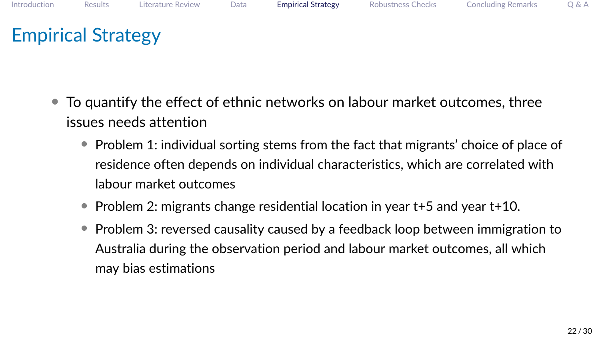- To quantify the effect of ethnic networks on labour market outcomes, three issues needs attention
	- Problem 1: individual sorting stems from the fact that migrants' choice of place of residence often depends on individual characteristics, which are correlated with labour market outcomes
	- Problem 2: migrants change residential location in year t+5 and year t+10.
	- Problem 3: reversed causality caused by a feedback loop between immigration to Australia during the observation period and labour market outcomes, all which may bias estimations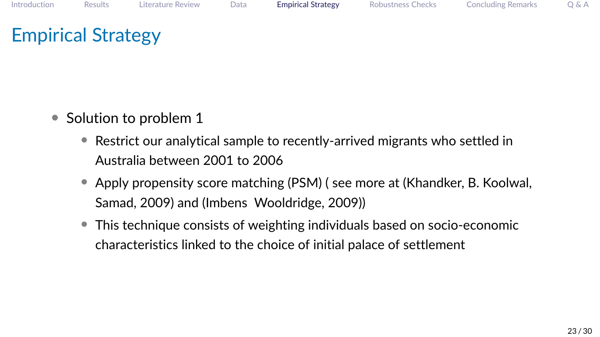- Solution to problem 1
	- Restrict our analytical sample to recently-arrived migrants who settled in Australia between 2001 to 2006
	- Apply propensity score matching (PSM) ( see more at (Khandker, B. Koolwal, Samad, 2009) and (Imbens Wooldridge, 2009))
	- This technique consists of weighting individuals based on socio-economic characteristics linked to the choice of initial palace of settlement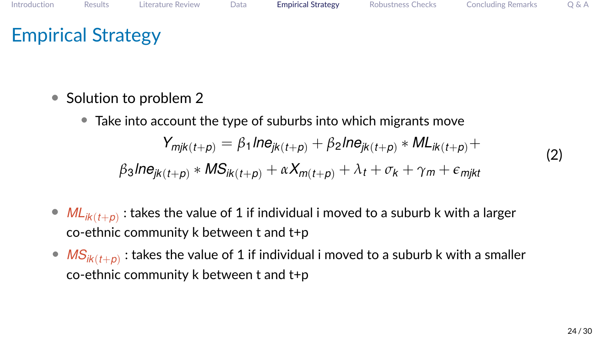- Solution to problem 2
	- Take into account the type of suburbs into which migrants move

$$
Y_{mjk(t+p)} = \beta_1 \ln e_{jk(t+p)} + \beta_2 \ln e_{jk(t+p)} * ML_{ik(t+p)} +
$$

$$
\beta_3 \ln e_{jk(t+p)} * MS_{ik(t+p)} + \alpha X_{m(t+p)} + \lambda_t + \sigma_k + \gamma_m + \epsilon_{mjkt}
$$

- $\bullet$   $ML_{ik(t+p)}$ : takes the value of 1 if individual i moved to a suburb k with a larger co-ethnic community k between t and t+p
- $\bullet$   $\overline{\mathsf{MS}_{\mathsf{ik}(t+\rho)}}$  : takes the value of 1 if individual i moved to a suburb k with a smaller co-ethnic community k between t and t+p

(2)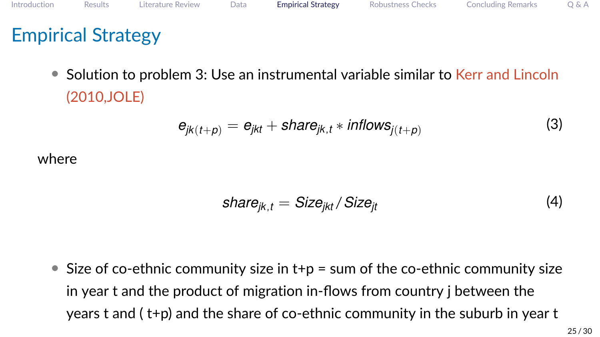• Solution to problem 3: Use an instrumental variable similar to Kerr and Lincoln (2010,JOLE)

$$
e_{jk(t+p)} = e_{jkt} + share_{jk,t} * inflows_{j(t+p)}
$$
\n(3)

where

$$
share_{jk,t} = Size_{jkt}/Size_{jt}
$$
 (4)

• Size of co-ethnic community size in  $t+p = \text{sum of the co-ethnic community size}$ in year t and the product of migration in-flows from country j between the years t and ( t+p) and the share of co-ethnic community in the suburb in year t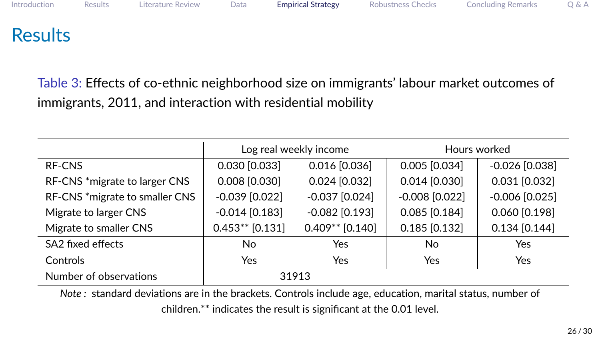# **Results**

Table 3: Effects of co-ethnic neighborhood size on immigrants' labour market outcomes of immigrants, 2011, and interaction with residential mobility

|                                | Log real weekly income |                   | Hours worked     |                  |
|--------------------------------|------------------------|-------------------|------------------|------------------|
| RF-CNS                         | 0.030 [0.033]          | $0.016$ [0.036]   | $0.005$ [0.034]  | $-0.026$ [0.038] |
| RF-CNS *migrate to larger CNS  | $0.008$ [0.030]        | $0.024$ [0.032]   | $0.014$ [0.030]  | $0.031$ [0.032]  |
| RF-CNS *migrate to smaller CNS | $-0.039$ [0.022]       | $-0.037$ [0.024]  | $-0.008$ [0.022] | $-0.006$ [0.025] |
| Migrate to larger CNS          | $-0.014$ [0.183]       | $-0.082$ [0.193]  | $0.085$ [0.184]  | 0.060 [0.198]    |
| Migrate to smaller CNS         | $0.453**$ [0.131]      | $0.409**$ [0.140] | $0.185$ [0.132]  | $0.134$ [0.144]  |
| SA2 fixed effects              | No.                    | Yes               | No               | Yes              |
| Controls                       | Yes                    | Yes               | Yes              | <b>Yes</b>       |
| Number of observations         | 31913                  |                   |                  |                  |

*Note :* standard deviations are in the brackets. Controls include age, education, marital status, number of

children.\*\* indicates the result is significant at the 0.01 level.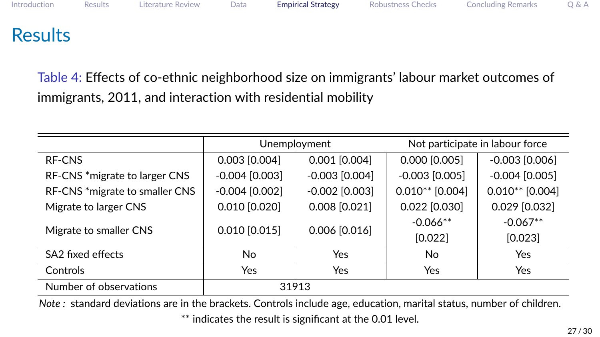# **Results**

Table 4: Effects of co-ethnic neighborhood size on immigrants' labour market outcomes of immigrants, 2011, and interaction with residential mobility

|                                | Unemployment      |                   | Not participate in labour force |                       |
|--------------------------------|-------------------|-------------------|---------------------------------|-----------------------|
| RF-CNS                         | $0.003$ $[0.004]$ | $0.001$ $[0.004]$ | 0.000 [0.005]                   | $-0.003$ [0.006]      |
| RF-CNS *migrate to larger CNS  | $-0.004$ [0.003]  | $-0.003$ [0.004]  | $-0.003$ [0.005]                | $-0.004$ [0.005]      |
| RF-CNS *migrate to smaller CNS | $-0.004$ [0.002]  | $-0.002$ [0.003]  | $0.010**$ [0.004]               | $0.010**$ [0.004]     |
| Migrate to larger CNS          | $0.010$ $[0.020]$ | $0.008$ $[0.021]$ | $0.022$ [0.030]                 | 0.029 [0.032]         |
| Migrate to smaller CNS         | $0.010$ $[0.015]$ | $0.006$ $[0.016]$ | $-0.066**$<br>[0.022]           | $-0.067**$<br>[0.023] |
| SA <sub>2</sub> fixed effects  | No.               | Yes               | No.                             | <b>Yes</b>            |
| Controls                       | Yes               | Yes               | Yes                             | Yes                   |
| Number of observations         | 31913             |                   |                                 |                       |

*Note :* standard deviations are in the brackets. Controls include age, education, marital status, number of children. \*\* indicates the result is significant at the 0.01 level.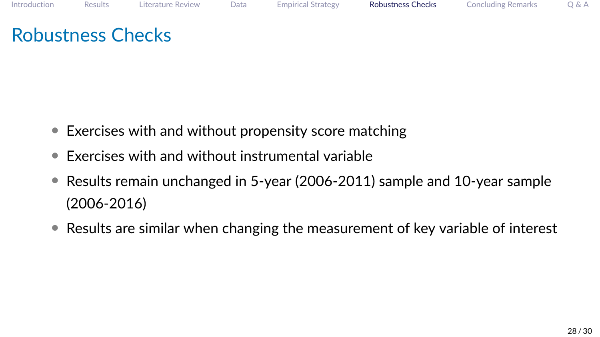# <span id="page-27-0"></span>Robustness Checks

- Exercises with and without propensity score matching
- Exercises with and without instrumental variable
- Results remain unchanged in 5-year (2006-2011) sample and 10-year sample (2006-2016)
- Results are similar when changing the measurement of key variable of interest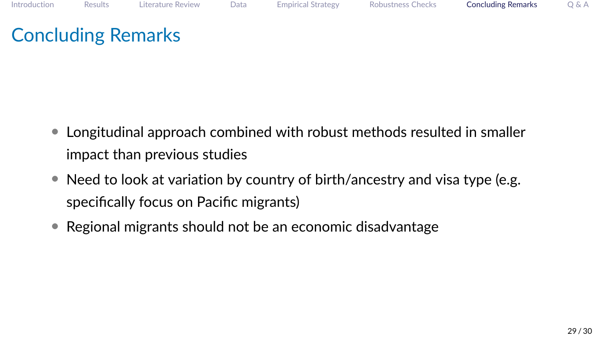# <span id="page-28-0"></span>Concluding Remarks

- Longitudinal approach combined with robust methods resulted in smaller impact than previous studies
- Need to look at variation by country of birth/ancestry and visa type (e.g. specifically focus on Pacific migrants)
- Regional migrants should not be an economic disadvantage